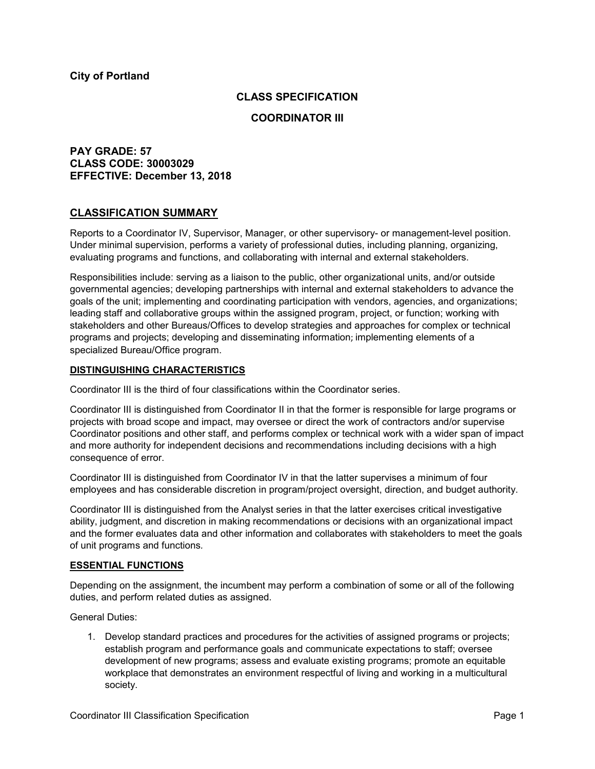### **CLASS SPECIFICATION**

### **COORDINATOR III**

# **PAY GRADE: 57 CLASS CODE: 30003029 EFFECTIVE: December 13, 2018**

## **CLASSIFICATION SUMMARY**

Reports to a Coordinator IV, Supervisor, Manager, or other supervisory- or management-level position. Under minimal supervision, performs a variety of professional duties, including planning, organizing, evaluating programs and functions, and collaborating with internal and external stakeholders.

Responsibilities include: serving as a liaison to the public, other organizational units, and/or outside governmental agencies; developing partnerships with internal and external stakeholders to advance the goals of the unit; implementing and coordinating participation with vendors, agencies, and organizations; leading staff and collaborative groups within the assigned program, project, or function; working with stakeholders and other Bureaus/Offices to develop strategies and approaches for complex or technical programs and projects; developing and disseminating information; implementing elements of a specialized Bureau/Office program.

### **DISTINGUISHING CHARACTERISTICS**

Coordinator III is the third of four classifications within the Coordinator series.

Coordinator III is distinguished from Coordinator II in that the former is responsible for large programs or projects with broad scope and impact, may oversee or direct the work of contractors and/or supervise Coordinator positions and other staff, and performs complex or technical work with a wider span of impact and more authority for independent decisions and recommendations including decisions with a high consequence of error.

Coordinator III is distinguished from Coordinator IV in that the latter supervises a minimum of four employees and has considerable discretion in program/project oversight, direction, and budget authority.

Coordinator III is distinguished from the Analyst series in that the latter exercises critical investigative ability, judgment, and discretion in making recommendations or decisions with an organizational impact and the former evaluates data and other information and collaborates with stakeholders to meet the goals of unit programs and functions*.*

### **ESSENTIAL FUNCTIONS**

Depending on the assignment, the incumbent may perform a combination of some or all of the following duties, and perform related duties as assigned.

General Duties:

1. Develop standard practices and procedures for the activities of assigned programs or projects; establish program and performance goals and communicate expectations to staff; oversee development of new programs; assess and evaluate existing programs; promote an equitable workplace that demonstrates an environment respectful of living and working in a multicultural society.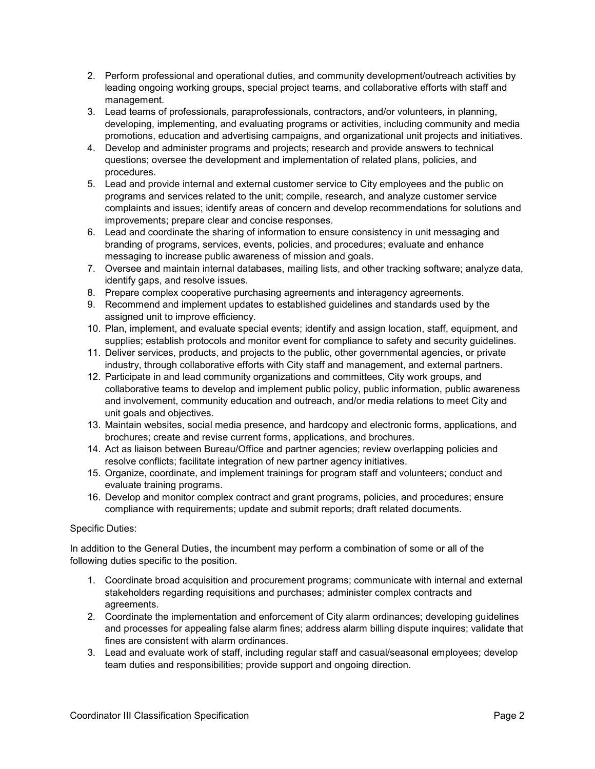- 2. Perform professional and operational duties, and community development/outreach activities by leading ongoing working groups, special project teams, and collaborative efforts with staff and management.
- 3. Lead teams of professionals, paraprofessionals, contractors, and/or volunteers, in planning, developing, implementing, and evaluating programs or activities, including community and media promotions, education and advertising campaigns, and organizational unit projects and initiatives.
- 4. Develop and administer programs and projects; research and provide answers to technical questions; oversee the development and implementation of related plans, policies, and procedures.
- 5. Lead and provide internal and external customer service to City employees and the public on programs and services related to the unit; compile, research, and analyze customer service complaints and issues; identify areas of concern and develop recommendations for solutions and improvements; prepare clear and concise responses.
- 6. Lead and coordinate the sharing of information to ensure consistency in unit messaging and branding of programs, services, events, policies, and procedures; evaluate and enhance messaging to increase public awareness of mission and goals.
- 7. Oversee and maintain internal databases, mailing lists, and other tracking software; analyze data, identify gaps, and resolve issues.
- 8. Prepare complex cooperative purchasing agreements and interagency agreements.
- 9. Recommend and implement updates to established guidelines and standards used by the assigned unit to improve efficiency.
- 10. Plan, implement, and evaluate special events; identify and assign location, staff, equipment, and supplies; establish protocols and monitor event for compliance to safety and security guidelines.
- 11. Deliver services, products, and projects to the public, other governmental agencies, or private industry, through collaborative efforts with City staff and management, and external partners.
- 12. Participate in and lead community organizations and committees, City work groups, and collaborative teams to develop and implement public policy, public information, public awareness and involvement, community education and outreach, and/or media relations to meet City and unit goals and objectives.
- 13. Maintain websites, social media presence, and hardcopy and electronic forms, applications, and brochures; create and revise current forms, applications, and brochures.
- 14. Act as liaison between Bureau/Office and partner agencies; review overlapping policies and resolve conflicts; facilitate integration of new partner agency initiatives.
- 15. Organize, coordinate, and implement trainings for program staff and volunteers; conduct and evaluate training programs.
- 16. Develop and monitor complex contract and grant programs, policies, and procedures; ensure compliance with requirements; update and submit reports; draft related documents.

## Specific Duties:

In addition to the General Duties, the incumbent may perform a combination of some or all of the following duties specific to the position.

- 1. Coordinate broad acquisition and procurement programs; communicate with internal and external stakeholders regarding requisitions and purchases; administer complex contracts and agreements.
- 2. Coordinate the implementation and enforcement of City alarm ordinances; developing guidelines and processes for appealing false alarm fines; address alarm billing dispute inquires; validate that fines are consistent with alarm ordinances.
- 3. Lead and evaluate work of staff, including regular staff and casual/seasonal employees; develop team duties and responsibilities; provide support and ongoing direction.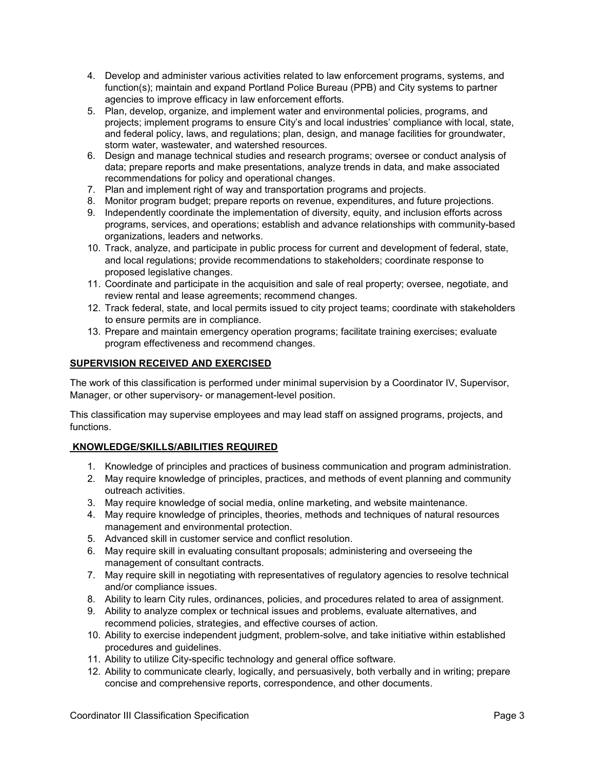- 4. Develop and administer various activities related to law enforcement programs, systems, and function(s); maintain and expand Portland Police Bureau (PPB) and City systems to partner agencies to improve efficacy in law enforcement efforts.
- 5. Plan, develop, organize, and implement water and environmental policies, programs, and projects; implement programs to ensure City's and local industries' compliance with local, state, and federal policy, laws, and regulations; plan, design, and manage facilities for groundwater, storm water, wastewater, and watershed resources.
- 6. Design and manage technical studies and research programs; oversee or conduct analysis of data; prepare reports and make presentations, analyze trends in data, and make associated recommendations for policy and operational changes.
- 7. Plan and implement right of way and transportation programs and projects.
- 8. Monitor program budget; prepare reports on revenue, expenditures, and future projections.
- 9. Independently coordinate the implementation of diversity, equity, and inclusion efforts across programs, services, and operations; establish and advance relationships with community-based organizations, leaders and networks.
- 10. Track, analyze, and participate in public process for current and development of federal, state, and local regulations; provide recommendations to stakeholders; coordinate response to proposed legislative changes.
- 11. Coordinate and participate in the acquisition and sale of real property; oversee, negotiate, and review rental and lease agreements; recommend changes.
- 12. Track federal, state, and local permits issued to city project teams; coordinate with stakeholders to ensure permits are in compliance.
- 13. Prepare and maintain emergency operation programs; facilitate training exercises; evaluate program effectiveness and recommend changes.

## **SUPERVISION RECEIVED AND EXERCISED**

The work of this classification is performed under minimal supervision by a Coordinator IV, Supervisor, Manager, or other supervisory- or management-level position.

This classification may supervise employees and may lead staff on assigned programs, projects, and functions.

# **KNOWLEDGE/SKILLS/ABILITIES REQUIRED**

- 1. Knowledge of principles and practices of business communication and program administration.
- 2. May require knowledge of principles, practices, and methods of event planning and community outreach activities.
- 3. May require knowledge of social media, online marketing, and website maintenance.
- 4. May require knowledge of principles, theories, methods and techniques of natural resources management and environmental protection.
- 5. Advanced skill in customer service and conflict resolution.
- 6. May require skill in evaluating consultant proposals; administering and overseeing the management of consultant contracts.
- 7. May require skill in negotiating with representatives of regulatory agencies to resolve technical and/or compliance issues.
- 8. Ability to learn City rules, ordinances, policies, and procedures related to area of assignment.
- 9. Ability to analyze complex or technical issues and problems, evaluate alternatives, and recommend policies, strategies, and effective courses of action.
- 10. Ability to exercise independent judgment, problem-solve, and take initiative within established procedures and guidelines.
- 11. Ability to utilize City-specific technology and general office software.
- 12. Ability to communicate clearly, logically, and persuasively, both verbally and in writing; prepare concise and comprehensive reports, correspondence, and other documents.